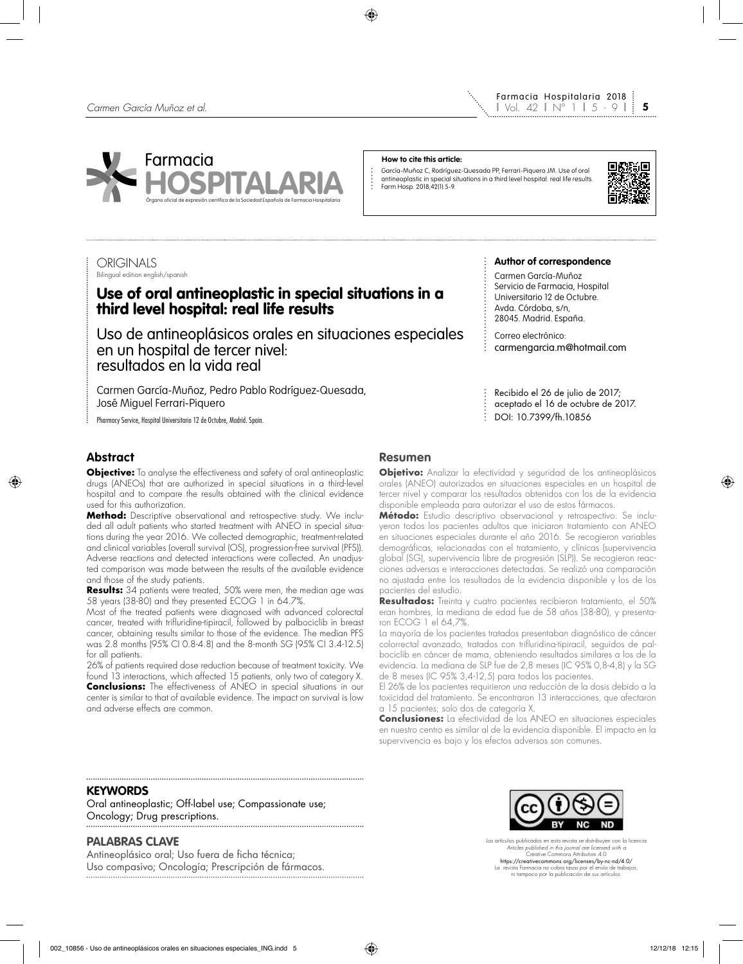

#### **How to cite this article:**

 $\ddot{\cdot}$ 

García-Muñoz C, Rodríguez-Quesada PP, Ferrari-Piquero JM. Use of oral antineoplastic in special situations in a third level hospital: real life results. Farm Hosp. 2018;42(1):5-9.



# **ORIGINALS**

# Bilingual edition english/spanish

# Use of oral antineoplastic in special situations in a third level hospital: real life results

Uso de antineoplásicos orales en situaciones especiales en un hospital de tercer nivel: resultados en la vida real

Carmen García-Muñoz, Pedro Pablo Rodríguez-Quesada, José Miguel Ferrari-Piquero

Pharmacy Service, Hospital Universitario 12 de Octubre, Madrid. Spain.

# **Abstract**

**Objective:** To analyse the effectiveness and safety of oral antineoplastic drugs (ANEOs) that are authorized in special situations in a third-level hospital and to compare the results obtained with the clinical evidence used for this authorization.

**Method:** Descriptive observational and retrospective study. We included all adult patients who started treatment with ANEO in special situations during the year 2016. We collected demographic, treatment-related and clinical variables (overall survival (OS), progression-free survival (PFS)). Adverse reactions and detected interactions were collected. An unadjusted comparison was made between the results of the available evidence and those of the study patients.

**Results:** 34 patients were treated, 50% were men, the median age was 58 years (38-80) and they presented ECOG 1 in 64.7%.

Most of the treated patients were diagnosed with advanced colorectal cancer, treated with trifluridine-tipiracil, followed by palbociclib in breast cancer, obtaining results similar to those of the evidence. The median PFS was 2.8 months (95% CI 0.8-4.8) and the 8-month SG (95% CI 3.4-12.5) for all patients.

26% of patients required dose reduction because of treatment toxicity. We found 13 interactions, which affected 15 patients, only two of category X. **Conclusions:** The effectiveness of ANEO in special situations in our center is similar to that of available evidence. The impact on survival is low and adverse effects are common.

#### **Author of correspondence**

Carmen García-Muñoz Servicio de Farmacia, Hospital Universitario 12 de Octubre. Avda. Córdoba, s/n, 28045. Madrid. España.

Correo electrónico: carmengarcia.m@hotmail.com

Recibido el 26 de julio de 2017; aceptado el 16 de octubre de 2017. DOI: 10.7399/fh.10856

# **Resumen**

**Objetivo:** Analizar la efectividad y seguridad de los antineoplásicos orales (ANEO) autorizados en situaciones especiales en un hospital de tercer nivel y comparar los resultados obtenidos con los de la evidencia disponible empleada para autorizar el uso de estos fármacos.

**Método:** Estudio descriptivo observacional y retrospectivo. Se incluyeron todos los pacientes adultos que iniciaron tratamiento con ANEO en situaciones especiales durante el año 2016. Se recogieron variables demográficas, relacionadas con el tratamiento, y clínicas (supervivencia global (SG), supervivencia libre de progresión (SLP)). Se recogieron reacciones adversas e interacciones detectadas. Se realizó una comparación no ajustada entre los resultados de la evidencia disponible y los de los pacientes del estudio.

**Resultados:** Treinta y cuatro pacientes recibieron tratamiento, el 50% eran hombres, la mediana de edad fue de 58 años (38-80), y presentaron ECOG 1 el 64,7%.

La mayoría de los pacientes tratados presentaban diagnóstico de cáncer colorrectal avanzado, tratados con trifluridina-tipiracil, seguidos de palbociclib en cáncer de mama, obteniendo resultados similares a los de la evidencia. La mediana de SLP fue de 2,8 meses (IC 95% 0,8-4,8) y la SG de 8 meses (IC 95% 3,4-12,5) para todos los pacientes.

El 26% de los pacientes requirieron una reducción de la dosis debido a la toxicidad del tratamiento. Se encontraron 13 interacciones, que afectaron a 15 pacientes; solo dos de categoría X.

**Conclusiones:** La efectividad de los ANEO en situaciones especiales en nuestro centro es similar al de la evidencia disponible. El impacto en la supervivencia es bajo y los efectos adversos son comunes.

## **KEYWORDS**

Oral antineoplastic; Off-label use; Compassionate use; Oncology; Drug prescriptions.

# **PALABRAS CLAVE**

Antineoplásico oral; Uso fuera de ficha técnica; Uso compasivo; Oncología; Prescripción de fármacos.



Los artículos publicados en esta revista se distribuyen con la licencia *Articles published in this journal are licensed with a* Creative Commons Attribution 4.0 https://creativecommons.org/licenses/by-nc-nd/4.0/ La revista Farmacia no cobra tasas por el envío de trabajos, ni tampoco por la publicación de sus artículos.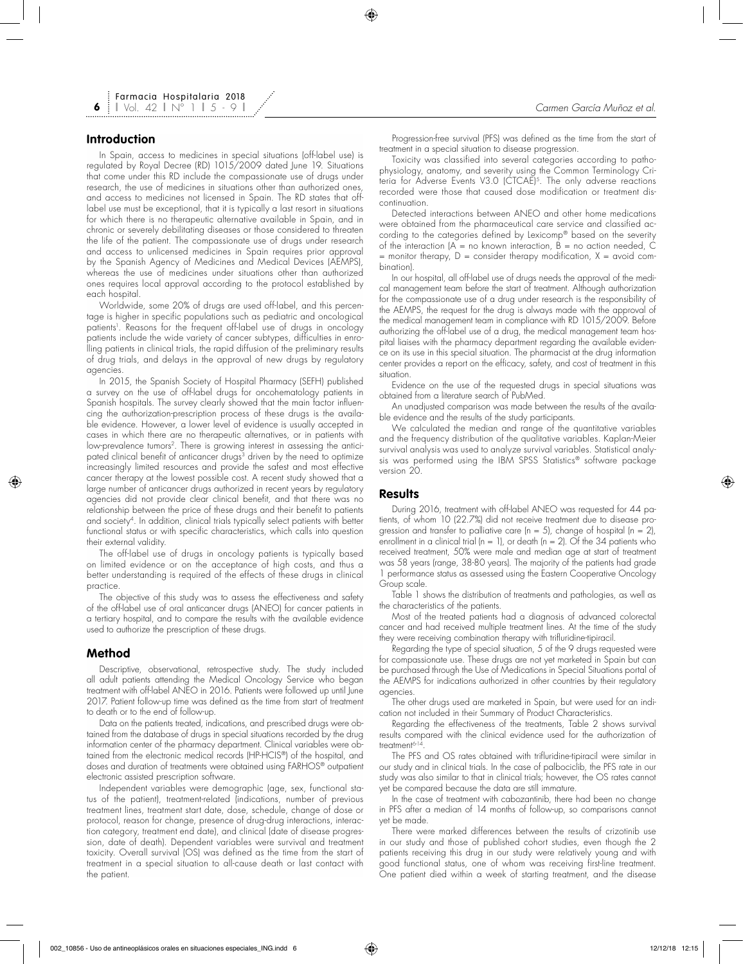## **Introduction**

**6**

In Spain, access to medicines in special situations (off-label use) is regulated by Royal Decree (RD) 1015/2009 dated June 19. Situations that come under this RD include the compassionate use of drugs under research, the use of medicines in situations other than authorized ones, and access to medicines not licensed in Spain. The RD states that offlabel use must be exceptional, that it is typically a last resort in situations for which there is no therapeutic alternative available in Spain, and in chronic or severely debilitating diseases or those considered to threaten the life of the patient. The compassionate use of drugs under research and access to unlicensed medicines in Spain requires prior approval by the Spanish Agency of Medicines and Medical Devices (AEMPS), whereas the use of medicines under situations other than authorized ones requires local approval according to the protocol established by each hospital.

Worldwide, some 20% of drugs are used off-label, and this percentage is higher in specific populations such as pediatric and oncological patients'. Reasons for the frequent oft-label use of drugs in oncology patients include the wide variety of cancer subtypes, difficulties in enrolling patients in clinical trials, the rapid diffusion of the preliminary results of drug trials, and delays in the approval of new drugs by regulatory agencies.

In 2015, the Spanish Society of Hospital Pharmacy (SEFH) published a survey on the use of off-label drugs for oncohematology patients in Spanish hospitals. The survey clearly showed that the main factor influencing the authorization-prescription process of these drugs is the available evidence. However, a lower level of evidence is usually accepted in cases in which there are no therapeutic alternatives, or in patients with low-prevalence tumors<sup>2</sup>. There is growing interest in assessing the anticipated clinical benefit of anticancer drugs<sup>3</sup> driven by the need to optimize increasingly limited resources and provide the safest and most effective cancer therapy at the lowest possible cost. A recent study showed that a large number of anticancer drugs authorized in recent years by regulatory agencies did not provide clear clinical benefit, and that there was no relationship between the price of these drugs and their benefit to patients and society<sup>4</sup>. In addition, clinical trials typically select patients with better functional status or with specific characteristics, which calls into question their external validity.

The off-label use of drugs in oncology patients is typically based on limited evidence or on the acceptance of high costs, and thus a better understanding is required of the effects of these drugs in clinical practice.

The objective of this study was to assess the effectiveness and safety of the off-label use of oral anticancer drugs (ANEO) for cancer patients in a tertiary hospital, and to compare the results with the available evidence used to authorize the prescription of these drugs.

#### **Method**

Descriptive, observational, retrospective study. The study included all adult patients attending the Medical Oncology Service who began treatment with off-label ANEO in 2016. Patients were followed up until June 2017. Patient follow-up time was defined as the time from start of treatment to death or to the end of follow-up.

Data on the patients treated, indications, and prescribed drugs were obtained from the database of drugs in special situations recorded by the drug information center of the pharmacy department. Clinical variables were obtained from the electronic medical records (HP-HCIS®) of the hospital, and doses and duration of treatments were obtained using FARHOS® outpatient electronic assisted prescription software.

Independent variables were demographic (age, sex, functional status of the patient), treatment-related (indications, number of previous treatment lines, treatment start date, dose, schedule, change of dose or protocol, reason for change, presence of drug-drug interactions, interaction category, treatment end date), and clinical (date of disease progression, date of death). Dependent variables were survival and treatment toxicity. Overall survival (OS) was defined as the time from the start of treatment in a special situation to all-cause death or last contact with the patient.

Progression-free survival (PFS) was defined as the time from the start of treatment in a special situation to disease progression.

Toxicity was classified into several categories according to pathophysiology, anatomy, and severity using the Common Terminology Criteria for Adverse Events V3.0 (CTCAE)<sup>5</sup>. The only adverse reactions recorded were those that caused dose modification or treatment discontinuation.

Detected interactions between ANEO and other home medications were obtained from the pharmaceutical care service and classified according to the categories defined by Lexicomp® based on the severity of the interaction  $|A| = n\alpha$  known interaction,  $\beta = n\alpha$  action needed,  $\dot{C}$  $=$  monitor therapy,  $D =$  consider therapy modification,  $X =$  avoid combination).

In our hospital, all off-label use of drugs needs the approval of the medical management team before the start of treatment. Although authorization for the compassionate use of a drug under research is the responsibility of the AEMPS, the request for the drug is always made with the approval of the medical management team in compliance with RD 1015/2009. Before authorizing the off-label use of a drug, the medical management team hospital liaises with the pharmacy department regarding the available evidence on its use in this special situation. The pharmacist at the drug information center provides a report on the efficacy, safety, and cost of treatment in this situation.

Evidence on the use of the requested drugs in special situations was obtained from a literature search of PubMed.

An unadjusted comparison was made between the results of the available evidence and the results of the study participants.

We calculated the median and range of the quantitative variables and the frequency distribution of the qualitative variables. Kaplan-Meier survival analysis was used to analyze survival variables. Statistical analysis was performed using the IBM SPSS Statistics® software package version 20.

### **Results**

During 2016, treatment with off-label ANEO was requested for 44 patients, of whom 10 (22.7%) did not receive treatment due to disease progression and transfer to palliative care  $(n = 5)$ , change of hospital  $(n = 2)$ , enrollment in a clinical trial ( $n = 1$ ), or death ( $n = 2$ ). Of the 34 patients who received treatment, 50% were male and median age at start of treatment was 58 years (range, 38-80 years). The majority of the patients had grade 1 performance status as assessed using the Eastern Cooperative Oncology Group scale.

Table 1 shows the distribution of treatments and pathologies, as well as the characteristics of the patients.

Most of the treated patients had a diagnosis of advanced colorectal cancer and had received multiple treatment lines. At the time of the study they were receiving combination therapy with trifluridine-tipiracil.

Regarding the type of special situation, 5 of the 9 drugs requested were for compassionate use. These drugs are not yet marketed in Spain but can be purchased through the Use of Medications in Special Situations portal of the AEMPS for indications authorized in other countries by their regulatory agencies.

The other drugs used are marketed in Spain, but were used for an indication not included in their Summary of Product Characteristics.

Regarding the effectiveness of the treatments, Table 2 shows survival results compared with the clinical evidence used for the authorization of treatment<sup>6-14</sup>

The PFS and OS rates obtained with trifluridine-tipiracil were similar in our study and in clinical trials. In the case of palbociclib, the PFS rate in our study was also similar to that in clinical trials; however, the OS rates cannot yet be compared because the data are still immature.

In the case of treatment with cabozantinib, there had been no change in PFS after a median of 14 months of follow-up, so comparisons cannot yet be made.

There were marked differences between the results of crizotinib use in our study and those of published cohort studies, even though the 2 patients receiving this drug in our study were relatively young and with good functional status, one of whom was receiving first-line treatment. One patient died within a week of starting treatment, and the disease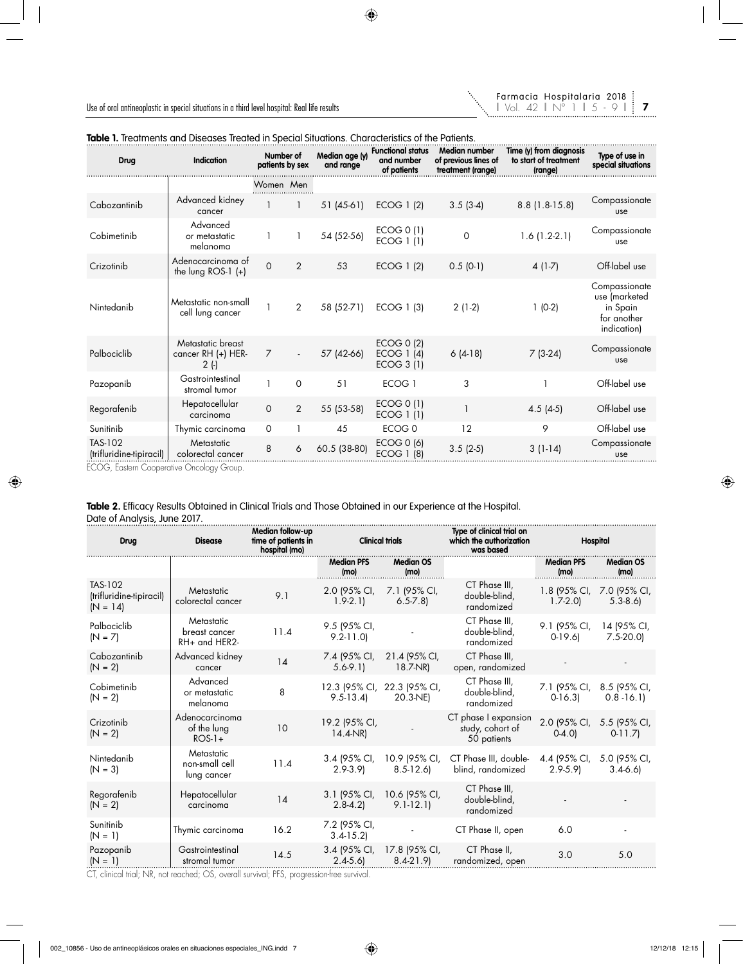

| i |  |
|---|--|
| u |  |

| Drug                                | <b>Indication</b>                             | Number of<br>patients by sex |              | Median age (y)<br>and range | <b>Functional status</b><br>and number<br>of patients | <b>Median number</b><br>of previous lines of<br>treatment (range) | Time (y) from diagnosis<br>to start of treatment<br>(range) | Type of use in<br>special situations                                     |
|-------------------------------------|-----------------------------------------------|------------------------------|--------------|-----------------------------|-------------------------------------------------------|-------------------------------------------------------------------|-------------------------------------------------------------|--------------------------------------------------------------------------|
|                                     |                                               | Women Men                    |              |                             |                                                       |                                                                   |                                                             |                                                                          |
| Cabozantinib                        | Advanced kidney<br>cancer                     |                              |              | 51 (45-61)                  | ECOG 1 (2)                                            | $3.5(3-4)$                                                        | $8.8$ (1.8-15.8)                                            | Compassionate<br>use                                                     |
| Cobimetinib                         | Advanced<br>or metastatic<br>melanoma         |                              |              | 54 (52-56)                  | ECOG 0 (1)<br>ECOG 1 (1)                              | 0                                                                 | $1.6(1.2-2.1)$                                              | Compassionate<br>use                                                     |
| Crizotinib                          | Adenocarcinoma of<br>the lung $ROS-1 (+)$     | $\Omega$                     | $\mathbf{2}$ | 53                          | ECOG 1 (2)                                            | $0.5(0-1)$                                                        | $4(1-7)$                                                    | Off-label use                                                            |
| Nintedanib                          | Metastatic non-small<br>cell lung cancer      |                              | 2            | 58 (52-71)                  | ECOG 1 (3)                                            | $2(1-2)$                                                          | $1(0-2)$                                                    | Compassionate<br>use (marketed<br>in Spain<br>for another<br>indication) |
| Palbociclib                         | Metastatic breast<br>cancer RH (+) HER-<br>2( | $\overline{7}$               |              | 57 (42-66)                  | ECOG 0 (2)<br>ECOG 1 (4)<br>ECOG 3 (1)                | $6(4-18)$                                                         | $7(3-24)$                                                   | Compassionate<br><b>use</b>                                              |
| Pazopanib                           | Gastrointestinal<br>stromal tumor             |                              | $\Omega$     | 51                          | ECOG <sub>1</sub>                                     | 3                                                                 |                                                             | Off-label use                                                            |
| Regorafenib                         | Hepatocellular<br>carcinoma                   | $\Omega$                     | 2            | 55 (53-58)                  | ECOG 0 (1)<br>ECOG 1 (1)                              |                                                                   | $4.5(4-5)$                                                  | Off-label use                                                            |
| Sunitinib                           | Thymic carcinoma                              | 0                            |              | 45                          | ECOG <sub>0</sub>                                     | 12                                                                | 9                                                           | Off-label use                                                            |
| TAS-102<br>(trifluridine-tipiracil) | Metastatic<br>colorectal cancer               | 8                            | 6            | 60.5 (38-80)                | ECOG 0 (6)<br>ECOG 1 (8)                              | $3.5(2-5)$                                                        | $3(1-14)$                                                   | Compassionate<br><b>use</b>                                              |

# **Table 1.** Treatments and Diseases Treated in Special Situations. Characteristics of the Patients.

ECOG, Eastern Cooperative Oncology Group.

# **Table 2.** Efficacy Results Obtained in Clinical Trials and Those Obtained in our Experience at the Hospital. Date of Analysis, June 2017.

| Drug                                              | <b>Disease</b>                               | Median follow-up<br>time of patients in<br>hospital (mo) | <b>Clinical trials</b>       |                                         | Type of clinical trial on<br>which the authorization<br>was based | <b>Hospital</b>             |                                           |
|---------------------------------------------------|----------------------------------------------|----------------------------------------------------------|------------------------------|-----------------------------------------|-------------------------------------------------------------------|-----------------------------|-------------------------------------------|
|                                                   |                                              |                                                          | <b>Median PFS</b><br>(mo)    | <b>Median OS</b><br>(mo)                |                                                                   | <b>Median PFS</b><br>(mo)   | <b>Median OS</b><br>(mo)                  |
| TAS-102<br>(trifluridine-tipiracil)<br>$(N = 14)$ | Metastatic<br>colorectal cancer              | 9.1                                                      | 2.0 (95% CI,<br>$1.9 - 2.1$  | 7.1 (95% CI,<br>$6.5 - 7.8$             | CT Phase III,<br>double-blind,<br>randomized                      | $1.7 - 2.0$                 | 1.8 (95% CI, 7.0 (95% CI,<br>$5.3 - 8.6$  |
| Palbociclib<br>$(N = 7)$                          | Metastatic<br>breast cancer<br>RH+ and HER2- | 11.4                                                     | 9.5 (95% CI,<br>$9.2 - 11.0$ |                                         | CT Phase III.<br>double-blind,<br>randomized                      | 9.1 (95% CI,<br>$0-19.6$    | 14 (95% CI,<br>$7.5-20.0$                 |
| Cabozantinib<br>$(N = 2)$                         | Advanced kidney<br>cancer                    | 14                                                       | 7.4 (95% CI,<br>$5.6-9.1$    | 21.4 (95% CI,<br>18.7-NR)               | CT Phase III,<br>open, randomized                                 |                             |                                           |
| Cobimetinib<br>$(N = 2)$                          | Advanced<br>or metastatic<br>melanoma        | 8                                                        | $9.5 - 13.4$                 | 12.3 (95% CI, 22.3 (95% CI,<br>20.3-NE) | CT Phase III,<br>double-blind,<br>randomized                      | $0-16.3$                    | 7.1 (95% CI, 8.5 (95% CI,<br>$0.8 - 16.1$ |
| Crizotinib<br>$(N = 2)$                           | Adenocarcinoma<br>of the lung<br>$ROS-1+$    | 10                                                       | 19.2 (95% CI,<br>$14.4-NR$   |                                         | CT phase I expansion<br>study, cohort of<br>50 patients           | $0-4.0$                     | 2.0 (95% CI, 5.5 (95% CI,<br>$0-11.7$     |
| Nintedanib<br>$(N = 3)$                           | Metastatic<br>non-small cell<br>lung cancer  | 11.4                                                     | 3.4 (95% CI,<br>$2.9 - 3.9$  | 10.9 (95% CI,<br>$8.5 - 12.6$           | CT Phase III, double-<br>blind, randomized                        | 4.4 (95% CI,<br>$2.9 - 5.9$ | 5.0 (95% CI,<br>$3.4 - 6.6$               |
| Regorafenib<br>$(N = 2)$                          | Hepatocellular<br>carcinoma                  | 14                                                       | 3.1 (95% CI,<br>$2.8 - 4.2$  | 10.6 (95% CI,<br>$9.1 - 12.1$           | CT Phase III,<br>double-blind,<br>randomized                      |                             |                                           |
| Sunitinib<br>$(N = 1)$                            | Thymic carcinoma                             | 16.2                                                     | 7.2 (95% CI,<br>$3.4 - 15.2$ |                                         | CT Phase II, open                                                 | 6.0                         |                                           |
| Pazopanib<br>$(N = 1)$                            | Gastrointestinal<br>stromal tumor            | 14.5                                                     | 3.4 (95% CI,<br>$2.4 - 5.6$  | 17.8 (95% CI,<br>$8.4 - 21.9$           | CT Phase II,<br>randomized, open                                  | 3.0                         | 5.0                                       |

CT, clinical trial; NR, not reached; OS, overall survival; PFS, progression-free survival.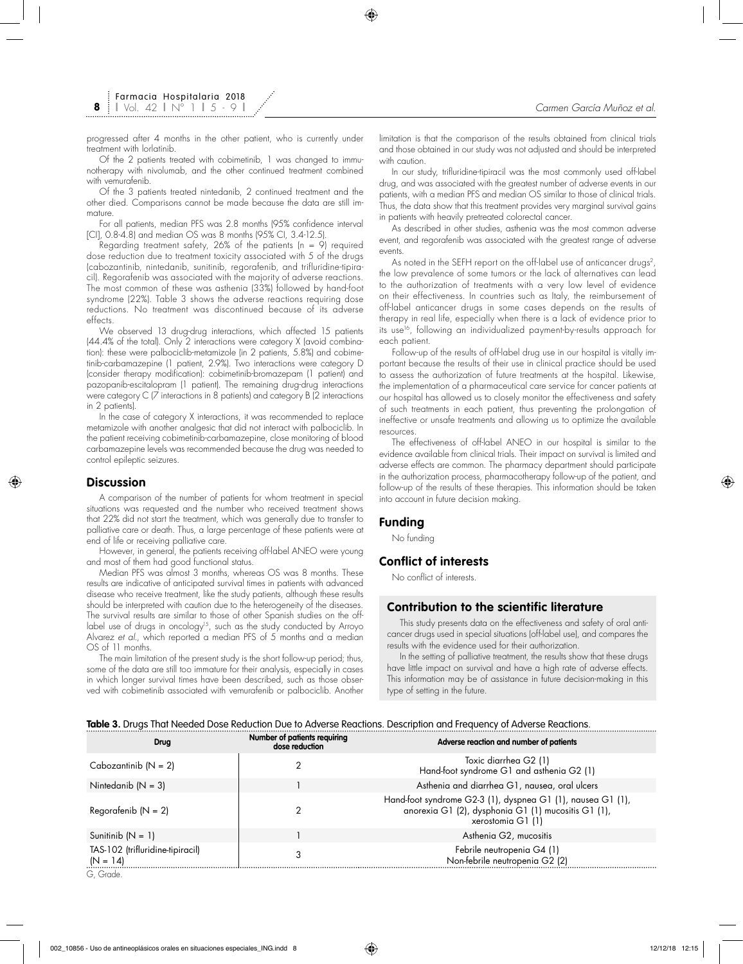**8**

progressed after 4 months in the other patient, who is currently under treatment with lorlatinib.

Of the 2 patients treated with cobimetinib, 1 was changed to immunotherapy with nivolumab, and the other continued treatment combined with vemurafenib.

Of the 3 patients treated nintedanib, 2 continued treatment and the other died. Comparisons cannot be made because the data are still immature.

For all patients, median PFS was 2.8 months (95% confidence interval [CI], 0.8-4.8) and median OS was 8 months (95% CI, 3.4-12.5).

Regarding treatment safety, 26% of the patients ( $n = 9$ ) required dose reduction due to treatment toxicity associated with 5 of the drugs (cabozantinib, nintedanib, sunitinib, regorafenib, and trifluridine-tipiracil). Regorafenib was associated with the majority of adverse reactions. The most common of these was asthenia (33%) followed by hand-foot syndrome (22%). Table 3 shows the adverse reactions requiring dose reductions. No treatment was discontinued because of its adverse effects.

We observed 13 drug-drug interactions, which affected 15 patients (44.4% of the total). Only 2 interactions were category X (avoid combination): these were palbociclib-metamizole (in 2 patients, 5.8%) and cobimetinib-carbamazepine (1 patient, 2.9%). Two interactions were category D (consider therapy modification): cobimetinib-bromazepam (1 patient) and pazopanib-escitalopram (1 patient). The remaining drug-drug interactions were category C (7 interactions in 8 patients) and category B (2 interactions in 2 patients).

In the case of category X interactions, it was recommended to replace metamizole with another analgesic that did not interact with palbociclib. In the patient receiving cobimetinib-carbamazepine, close monitoring of blood carbamazepine levels was recommended because the drug was needed to control epileptic seizures.

### **Discussion**

A comparison of the number of patients for whom treatment in special situations was requested and the number who received treatment shows that 22% did not start the treatment, which was generally due to transfer to palliative care or death. Thus, a large percentage of these patients were at end of life or receiving palliative care.

However, in general, the patients receiving off-label ANEO were young and most of them had good functional status.

Median PFS was almost 3 months, whereas OS was 8 months. These results are indicative of anticipated survival times in patients with advanced disease who receive treatment, like the study patients, although these results should be interpreted with caution due to the heterogeneity of the diseases. The survival results are similar to those of other Spanish studies on the offlabel use of drugs in oncology<sup>15</sup>, such as the study conducted by Arroyo Alvarez *et al.*, which reported a median PFS of 5 months and a median OS of 11 months.

The main limitation of the present study is the short follow-up period; thus, some of the data are still too immature for their analysis, especially in cases in which longer survival times have been described, such as those observed with cobimetinib associated with vemurafenib or palbociclib. Another limitation is that the comparison of the results obtained from clinical trials and those obtained in our study was not adjusted and should be interpreted with caution.

In our study, trifluridine-tipiracil was the most commonly used off-label drug, and was associated with the greatest number of adverse events in our patients, with a median PFS and median OS similar to those of clinical trials. Thus, the data show that this treatment provides very marginal survival gains in patients with heavily pretreated colorectal cancer.

As described in other studies, asthenia was the most common adverse event, and regorafenib was associated with the greatest range of adverse events.

As noted in the SEFH report on the off-label use of anticancer drugs<sup>2</sup>, the low prevalence of some tumors or the lack of alternatives can lead to the authorization of treatments with a very low level of evidence on their effectiveness. In countries such as Italy, the reimbursement of off-label anticancer drugs in some cases depends on the results of therapy in real life, especially when there is a lack of evidence prior to its use<sup>16</sup>, following an individualized payment-by-results approach for each patient.

Follow-up of the results of off-label drug use in our hospital is vitally important because the results of their use in clinical practice should be used to assess the authorization of future treatments at the hospital. Likewise, the implementation of a pharmaceutical care service for cancer patients at our hospital has allowed us to closely monitor the effectiveness and safety of such treatments in each patient, thus preventing the prolongation of ineffective or unsafe treatments and allowing us to optimize the available resources.

The effectiveness of off-label ANEO in our hospital is similar to the evidence available from clinical trials. Their impact on survival is limited and adverse effects are common. The pharmacy department should participate in the authorization process, pharmacotherapy follow-up of the patient, and follow-up of the results of these therapies. This information should be taken into account in future decision making.

#### **Funding**

No funding

# **Conflict of interests**

No conflict of interests.

## **Contribution to the scientific literature**

This study presents data on the effectiveness and safety of oral anticancer drugs used in special situations (off-label use), and compares the results with the evidence used for their authorization.

In the setting of palliative treatment, the results show that these drugs have little impact on survival and have a high rate of adverse effects. This information may be of assistance in future decision-making in this type of setting in the future.

# **Table 3.** Drugs That Needed Dose Reduction Due to Adverse Reactions. Description and Frequency of Adverse Reactions.

| <b>Drug</b>                                    | Number of patients requiring<br>dose reduction | Adverse reaction and number of patients                                                                                                 |
|------------------------------------------------|------------------------------------------------|-----------------------------------------------------------------------------------------------------------------------------------------|
| Cabozantinib $(N = 2)$                         |                                                | Toxic diarrhea G2 (1)<br>Hand-foot syndrome G1 and asthenia G2 (1)                                                                      |
| Nintedanib $(N = 3)$                           |                                                | Asthenia and diarrhea G1, nausea, oral ulcers                                                                                           |
| Regorafenib ( $N = 2$ )                        |                                                | Hand-foot syndrome G2-3 (1), dyspnea G1 (1), nausea G1 (1),<br>anorexia G1 (2), dysphonia G1 (1) mucositis G1 (1),<br>xerostomia G1 (1) |
| Sunitinib $(N = 1)$                            |                                                | Asthenia G2, mucositis                                                                                                                  |
| TAS-102 (trifluridine-tipiracil)<br>$(N = 14)$ |                                                | Febrile neutropenia G4 (1)<br>Non-febrile neutropenia G2 (2)                                                                            |